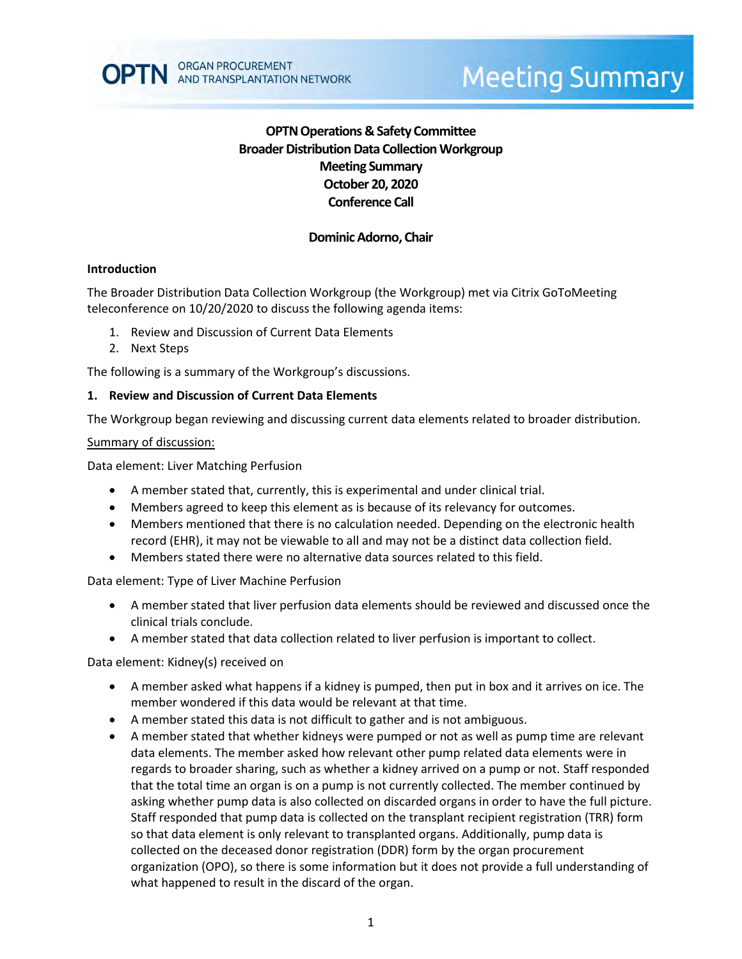

# **OPTN Operations & Safety Committee Broader Distribution Data Collection Workgroup Meeting Summary October 20, 2020 Conference Call**

### **Dominic Adorno, Chair**

#### **Introduction**

The Broader Distribution Data Collection Workgroup (the Workgroup) met via Citrix GoToMeeting teleconference on 10/20/2020 to discuss the following agenda items:

- 1. Review and Discussion of Current Data Elements
- 2. Next Steps

The following is a summary of the Workgroup's discussions.

#### **1. Review and Discussion of Current Data Elements**

The Workgroup began reviewing and discussing current data elements related to broader distribution.

#### Summary of discussion:

Data element: Liver Matching Perfusion

- A member stated that, currently, this is experimental and under clinical trial.
- Members agreed to keep this element as is because of its relevancy for outcomes.
- Members mentioned that there is no calculation needed. Depending on the electronic health record (EHR), it may not be viewable to all and may not be a distinct data collection field.
- Members stated there were no alternative data sources related to this field.

Data element: Type of Liver Machine Perfusion

- A member stated that liver perfusion data elements should be reviewed and discussed once the clinical trials conclude.
- A member stated that data collection related to liver perfusion is important to collect.

Data element: Kidney(s) received on

- A member asked what happens if a kidney is pumped, then put in box and it arrives on ice. The member wondered if this data would be relevant at that time.
- A member stated this data is not difficult to gather and is not ambiguous.
- A member stated that whether kidneys were pumped or not as well as pump time are relevant data elements. The member asked how relevant other pump related data elements were in regards to broader sharing, such as whether a kidney arrived on a pump or not. Staff responded that the total time an organ is on a pump is not currently collected. The member continued by asking whether pump data is also collected on discarded organs in order to have the full picture. Staff responded that pump data is collected on the transplant recipient registration (TRR) form so that data element is only relevant to transplanted organs. Additionally, pump data is collected on the deceased donor registration (DDR) form by the organ procurement organization (OPO), so there is some information but it does not provide a full understanding of what happened to result in the discard of the organ.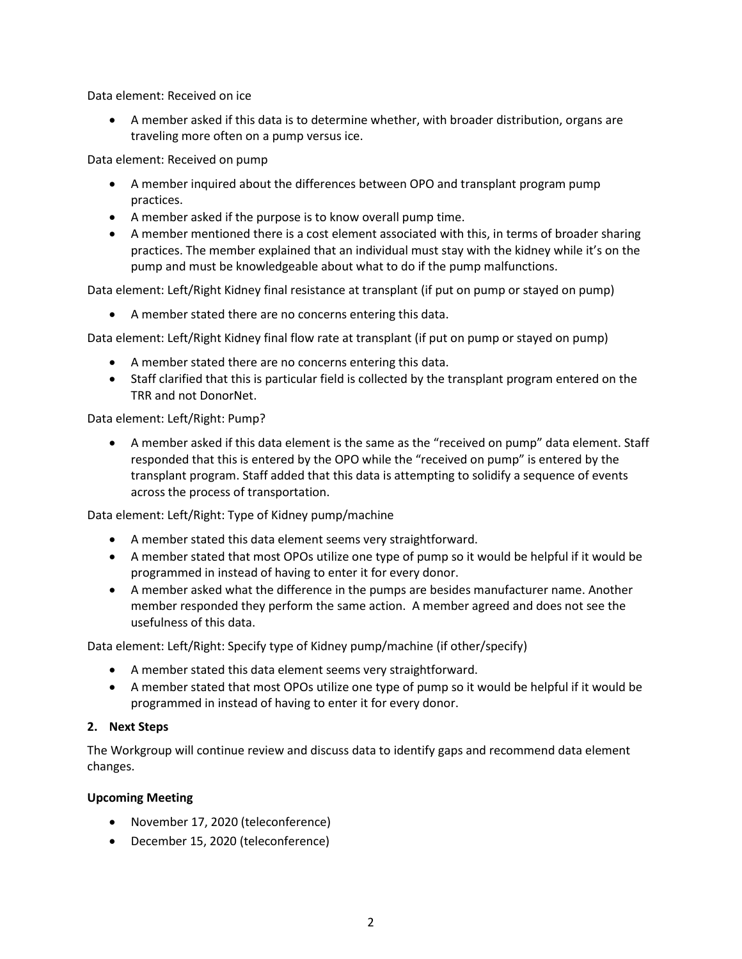Data element: Received on ice

 A member asked if this data is to determine whether, with broader distribution, organs are traveling more often on a pump versus ice.

Data element: Received on pump

- A member inquired about the differences between OPO and transplant program pump practices.
- A member asked if the purpose is to know overall pump time.
- A member mentioned there is a cost element associated with this, in terms of broader sharing practices. The member explained that an individual must stay with the kidney while it's on the pump and must be knowledgeable about what to do if the pump malfunctions.

Data element: Left/Right Kidney final resistance at transplant (if put on pump or stayed on pump)

A member stated there are no concerns entering this data.

Data element: Left/Right Kidney final flow rate at transplant (if put on pump or stayed on pump)

- A member stated there are no concerns entering this data.
- Staff clarified that this is particular field is collected by the transplant program entered on the TRR and not DonorNet.

### Data element: Left/Right: Pump?

 A member asked if this data element is the same as the "received on pump" data element. Staff responded that this is entered by the OPO while the "received on pump" is entered by the transplant program. Staff added that this data is attempting to solidify a sequence of events across the process of transportation.

Data element: Left/Right: Type of Kidney pump/machine

- A member stated this data element seems very straightforward.
- A member stated that most OPOs utilize one type of pump so it would be helpful if it would be programmed in instead of having to enter it for every donor.
- A member asked what the difference in the pumps are besides manufacturer name. Another member responded they perform the same action. A member agreed and does not see the usefulness of this data.

Data element: Left/Right: Specify type of Kidney pump/machine (if other/specify)

- A member stated this data element seems very straightforward.
- A member stated that most OPOs utilize one type of pump so it would be helpful if it would be programmed in instead of having to enter it for every donor.

### **2. Next Steps**

The Workgroup will continue review and discuss data to identify gaps and recommend data element changes.

### **Upcoming Meeting**

- November 17, 2020 (teleconference)
- December 15, 2020 (teleconference)